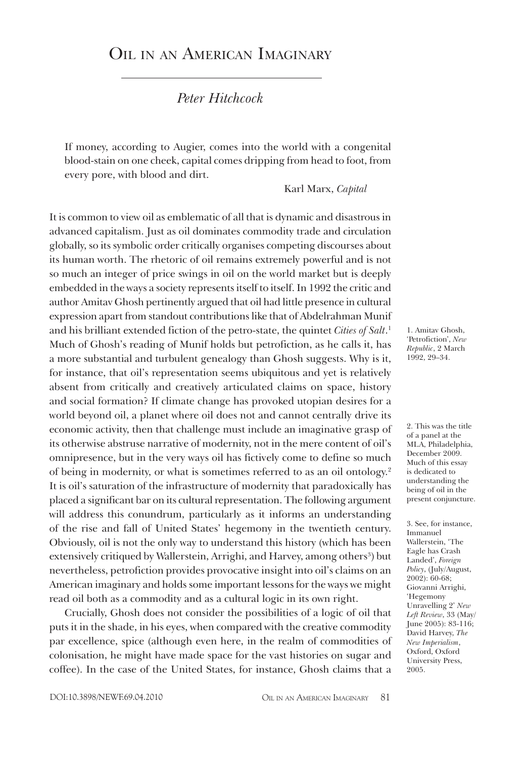## **OIL IN AN AMERICAN IMAGINARY**

Peter Hitchcock

If money, according to Augier, comes into the world with a congenital blood-stain on one cheek, capital comes dripping from head to foot, from every pore, with blood and dirt.

Karl Marx, Capital

It is common to view oil as emblematic of all that is dynamic and disastrous in advanced capitalism. Just as oil dominates commodity trade and circulation globally, so its symbolic order critically organises competing discourses about its human worth. The rhetoric of oil remains extremely powerful and is not so much an integer of price swings in oil on the world market but is deeply embedded in the ways a society represents itself to itself. In 1992 the critic and author Amitav Ghosh pertinently argued that oil had little presence in cultural expression apart from standout contributions like that of Abdelrahman Munif and his brilliant extended fiction of the petro-state, the quintet Cities of Salt.<sup>1</sup> Much of Ghosh's reading of Munif holds but petrofiction, as he calls it, has a more substantial and turbulent genealogy than Ghosh suggests. Why is it, for instance, that oil's representation seems ubiquitous and yet is relatively absent from critically and creatively articulated claims on space, history and social formation? If climate change has provoked utopian desires for a world beyond oil, a planet where oil does not and cannot centrally drive its economic activity, then that challenge must include an imaginative grasp of its otherwise abstruse narrative of modernity, not in the mere content of oil's omnipresence, but in the very ways oil has fictively come to define so much of being in modernity, or what is sometimes referred to as an oil ontology.<sup>2</sup> It is oil's saturation of the infrastructure of modernity that paradoxically has placed a significant bar on its cultural representation. The following argument will address this conundrum, particularly as it informs an understanding of the rise and fall of United States' hegemony in the twentieth century. Obviously, oil is not the only way to understand this history (which has been extensively critiqued by Wallerstein, Arrighi, and Harvey, among others<sup>3</sup>) but nevertheless, petrofiction provides provocative insight into oil's claims on an American imaginary and holds some important lessons for the ways we might read oil both as a commodity and as a cultural logic in its own right.

Crucially, Ghosh does not consider the possibilities of a logic of oil that puts it in the shade, in his eyes, when compared with the creative commodity par excellence, spice (although even here, in the realm of commodities of colonisation, he might have made space for the vast histories on sugar and coffee). In the case of the United States, for instance, Ghosh claims that a 1. Amitav Ghosh, 'Petrofiction', New Republic, 2 March 1992, 29-34.

2. This was the title of a panel at the MLA, Philadelphia, December 2009. Much of this essay is dedicated to understanding the being of oil in the present conjuncture.

3. See, for instance, Immanuel Wallerstein, 'The Eagle has Crash Landed', Foreign Policy, (July/August, 2002): 60-68; Giovanni Arrighi, 'Hegemony Unravelling 2' New Left Review, 33 (May/ June 2005): 83-116; David Harvey, The New Imperialism, Oxford, Oxford University Press, 2005.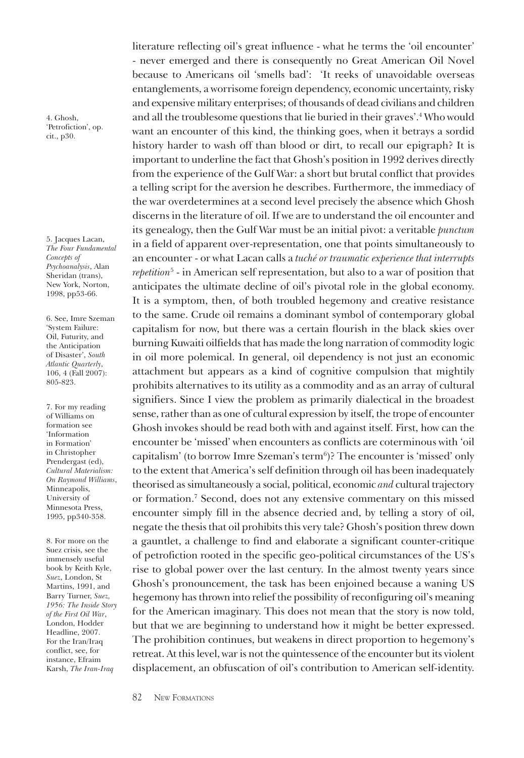4. Ghosh, 'Petrofiction', op. cit., p30.

5. Jacques Lacan, The Four Fundamental Concepts of Psychoanalysis, Alan Sheridan (trans), New York, Norton, 1998, pp53-66.

6. See, Imre Szeman 'System Failure: Oil Futurity and the Anticipation of Disaster', South Atlantic Quarterly, 106, 4 (Fall 2007): 805-823.

7. For my reading of Williams on formation see 'Information in Formation' in Christopher Prendergast (ed), Cultural Materialism: On Raymond Williams. Minneapolis, University of Minnesota Press, 1995, pp340-358.

8. For more on the Suez crisis, see the immenselv useful book by Keith Kyle, Suez, London, St Martins, 1991, and Barry Turner, Suez, 1956: The Inside Story of the First Oil War, London, Hodder Headline, 2007. For the Iran/Iraq conflict see for instance. Efraim Karsh, The Iran-Iraq

literature reflecting oil's great influence - what he terms the 'oil encounter' - never emerged and there is consequently no Great American Oil Novel because to Americans oil 'smells bad': 'It reeks of unavoidable overseas entanglements, a worrisome foreign dependency, economic uncertainty, risky and expensive military enterprises; of thousands of dead civilians and children and all the troublesome questions that lie buried in their graves'.4 Who would want an encounter of this kind, the thinking goes, when it betrays a sordid history harder to wash off than blood or dirt, to recall our epigraph? It is important to underline the fact that Ghosh's position in 1992 derives directly from the experience of the Gulf War: a short but brutal conflict that provides a telling script for the aversion he describes. Furthermore, the immediacy of the war overdetermines at a second level precisely the absence which Ghosh discerns in the literature of oil. If we are to understand the oil encounter and its genealogy, then the Gulf War must be an initial pivot: a veritable *punctum* in a field of apparent over-representation, one that points simultaneously to an encounter - or what Lacan calls a tuché or traumatic experience that interrupts  $repetition<sup>5</sup>$  - in American self representation, but also to a war of position that anticipates the ultimate decline of oil's pivotal role in the global economy. It is a symptom, then, of both troubled hegemony and creative resistance to the same. Crude oil remains a dominant symbol of contemporary global capitalism for now, but there was a certain flourish in the black skies over burning Kuwaiti oilfields that has made the long narration of commodity logic in oil more polemical. In general, oil dependency is not just an economic attachment but appears as a kind of cognitive compulsion that mightily prohibits alternatives to its utility as a commodity and as an array of cultural signifiers. Since I view the problem as primarily dialectical in the broadest sense, rather than as one of cultural expression by itself, the trope of encounter Ghosh invokes should be read both with and against itself. First, how can the encounter be 'missed' when encounters as conflicts are coterminous with 'oil capitalism' (to borrow Imre Szeman's term<sup>6</sup>)? The encounter is 'missed' only to the extent that America's self definition through oil has been inadequately theorised as simultaneously a social, political, economic and cultural trajectory or formation.<sup>7</sup> Second, does not any extensive commentary on this missed encounter simply fill in the absence decried and, by telling a story of oil, negate the thesis that oil prohibits this very tale? Ghosh's position threw down a gauntlet, a challenge to find and elaborate a significant counter-critique of petrofiction rooted in the specific geo-political circumstances of the US's rise to global power over the last century. In the almost twenty years since Ghosh's pronouncement, the task has been enjoined because a waning US hegemony has thrown into relief the possibility of reconfiguring oil's meaning for the American imaginary. This does not mean that the story is now told, but that we are beginning to understand how it might be better expressed. The prohibition continues, but weakens in direct proportion to hegemony's retreat. At this level, war is not the quintessence of the encounter but its violent displacement, an obfuscation of oil's contribution to American self-identity.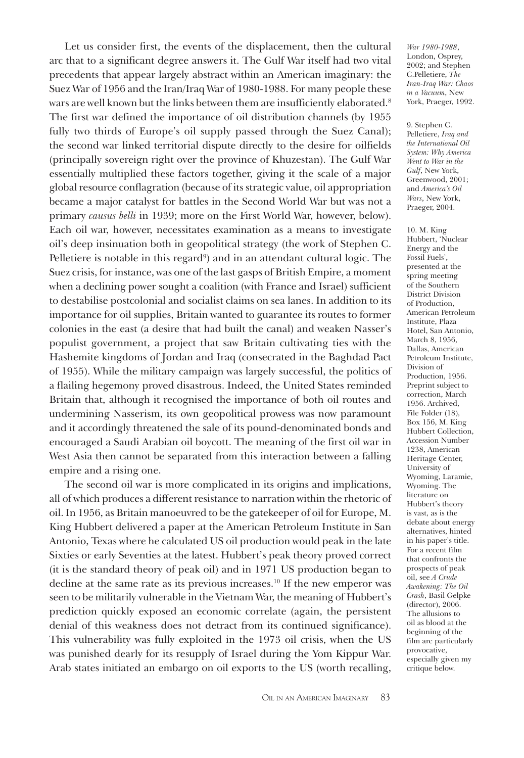Let us consider first, the events of the displacement, then the cultural arc that to a significant degree answers it. The Gulf War itself had two vital precedents that appear largely abstract within an American imaginary: the Suez War of 1956 and the Iran/Iraq War of 1980-1988. For many people these wars are well known but the links between them are insufficiently elaborated.<sup>8</sup> The first war defined the importance of oil distribution channels (by 1955 fully two thirds of Europe's oil supply passed through the Suez Canal); the second war linked territorial dispute directly to the desire for oilfields (principally sovereign right over the province of Khuzestan). The Gulf War essentially multiplied these factors together, giving it the scale of a major global resource conflagration (because of its strategic value, oil appropriation became a major catalyst for battles in the Second World War but was not a primary causus belli in 1939; more on the First World War, however, below). Each oil war, however, necessitates examination as a means to investigate oil's deep insinuation both in geopolitical strategy (the work of Stephen C. Pelletiere is notable in this regard<sup>9</sup>) and in an attendant cultural logic. The Suez crisis, for instance, was one of the last gasps of British Empire, a moment when a declining power sought a coalition (with France and Israel) sufficient to destabilise postcolonial and socialist claims on sea lanes. In addition to its importance for oil supplies, Britain wanted to guarantee its routes to former colonies in the east (a desire that had built the canal) and weaken Nasser's populist government, a project that saw Britain cultivating ties with the Hashemite kingdoms of Jordan and Iraq (consecrated in the Baghdad Pact of 1955). While the military campaign was largely successful, the politics of a flailing hegemony proved disastrous. Indeed, the United States reminded Britain that, although it recognised the importance of both oil routes and undermining Nasserism, its own geopolitical prowess was now paramount and it accordingly threatened the sale of its pound-denominated bonds and encouraged a Saudi Arabian oil boycott. The meaning of the first oil war in West Asia then cannot be separated from this interaction between a falling empire and a rising one.

The second oil war is more complicated in its origins and implications, all of which produces a different resistance to narration within the rhetoric of oil. In 1956, as Britain manoeuvred to be the gatekeeper of oil for Europe, M. King Hubbert delivered a paper at the American Petroleum Institute in San Antonio, Texas where he calculated US oil production would peak in the late Sixties or early Seventies at the latest. Hubbert's peak theory proved correct (it is the standard theory of peak oil) and in 1971 US production began to decline at the same rate as its previous increases.<sup>10</sup> If the new emperor was seen to be militarily vulnerable in the Vietnam War, the meaning of Hubbert's prediction quickly exposed an economic correlate (again, the persistent denial of this weakness does not detract from its continued significance). This vulnerability was fully exploited in the 1973 oil crisis, when the US was punished dearly for its resupply of Israel during the Yom Kippur War. Arab states initiated an embargo on oil exports to the US (worth recalling,

War 1980-1988, London, Osprey, 2002; and Stephen C.Pelletiere, The Iran-Iraq War: Chaos in a Vacuum, New York, Praeger, 1992.

9. Stephen C. Pelletiere, Iraq and the International Oil System: Why America Went to War in the Gulf, New York, Greenwood, 2001: and America's Oil Wars, New York, Praeger, 2004.

10. M. King Hubbert, 'Nuclear Energy and the Fossil Fuels', presented at the spring meeting of the Southern **District Division** of Production. American Petroleum Institute, Plaza Hotel, San Antonio, March 8, 1956, Dallas, American Petroleum Institute Division of Production, 1956. Preprint subject to correction, March 1956. Archived, File Folder (18), Box 156, M. King Hubbert Collection, **Accession Number** 1238. American Heritage Center, University of Wyoming, Laramie, Wyoming. The literature on Hubbert's theory is vast, as is the debate about energy alternatives, hinted in his paper's title. For a recent film that confronts the prospects of peak oil, see A Crude Awakening: The Oil Crash, Basil Gelpke (director), 2006. The allusions to oil as blood at the beginning of the film are particularly provocative, especially given my critique below.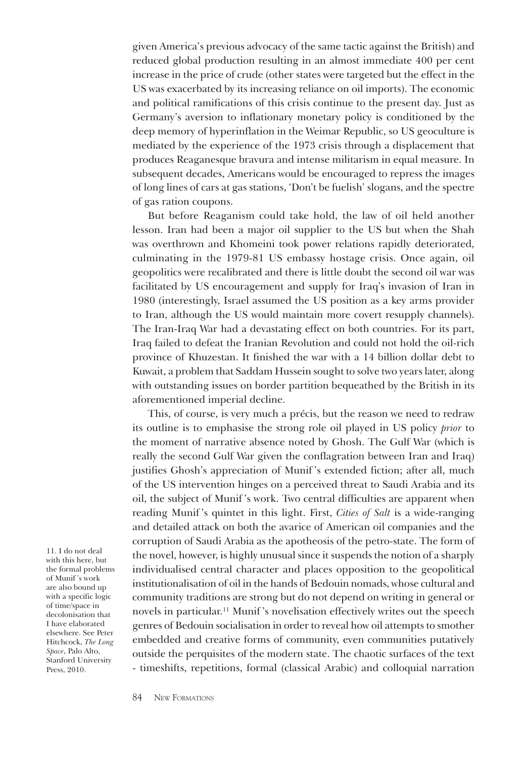given America's previous advocacy of the same tactic against the British) and reduced global production resulting in an almost immediate 400 per cent increase in the price of crude (other states were targeted but the effect in the US was exacerbated by its increasing reliance on oil imports). The economic and political ramifications of this crisis continue to the present day. Just as Germany's aversion to inflationary monetary policy is conditioned by the deep memory of hyperinflation in the Weimar Republic, so US geoculture is mediated by the experience of the 1973 crisis through a displacement that produces Reaganesque bravura and intense militarism in equal measure. In subsequent decades, Americans would be encouraged to repress the images of long lines of cars at gas stations, 'Don't be fuelish' slogans, and the spectre of gas ration coupons.

But before Reaganism could take hold, the law of oil held another lesson. Iran had been a major oil supplier to the US but when the Shah was overthrown and Khomeini took power relations rapidly deteriorated, culminating in the 1979-81 US embassy hostage crisis. Once again, oil geopolitics were recalibrated and there is little doubt the second oil war was facilitated by US encouragement and supply for Iraq's invasion of Iran in 1980 (interestingly, Israel assumed the US position as a key arms provider to Iran, although the US would maintain more covert resupply channels). The Iran-Iraq War had a devastating effect on both countries. For its part, Iraq failed to defeat the Iranian Revolution and could not hold the oil-rich province of Khuzestan. It finished the war with a 14 billion dollar debt to Kuwait, a problem that Saddam Hussein sought to solve two years later, along with outstanding issues on border partition bequeathed by the British in its aforementioned imperial decline.

This, of course, is very much a précis, but the reason we need to redraw its outline is to emphasise the strong role oil played in US policy *prior* to the moment of narrative absence noted by Ghosh. The Gulf War (which is really the second Gulf War given the conflagration between Iran and Iraq) justifies Ghosh's appreciation of Munif's extended fiction; after all, much of the US intervention hinges on a perceived threat to Saudi Arabia and its oil, the subject of Munif's work. Two central difficulties are apparent when reading Munif's quintet in this light. First, Cities of Salt is a wide-ranging and detailed attack on both the avarice of American oil companies and the corruption of Saudi Arabia as the apotheosis of the petro-state. The form of the novel, however, is highly unusual since it suspends the notion of a sharply individualised central character and places opposition to the geopolitical institutionalisation of oil in the hands of Bedouin nomads, whose cultural and community traditions are strong but do not depend on writing in general or novels in particular.<sup>11</sup> Munif's novelisation effectively writes out the speech genres of Bedouin socialisation in order to reveal how oil attempts to smother embedded and creative forms of community, even communities putatively outside the perquisites of the modern state. The chaotic surfaces of the text - timeshifts, repetitions, formal (classical Arabic) and colloquial narration

11. I do not deal with this here, but the formal problems of Munif's work are also bound up with a specific logic of time/space in decolonisation that I have elaborated elsewhere. See Peter Hitchcock, The Long Space, Palo Alto, Stanford University Press, 2010.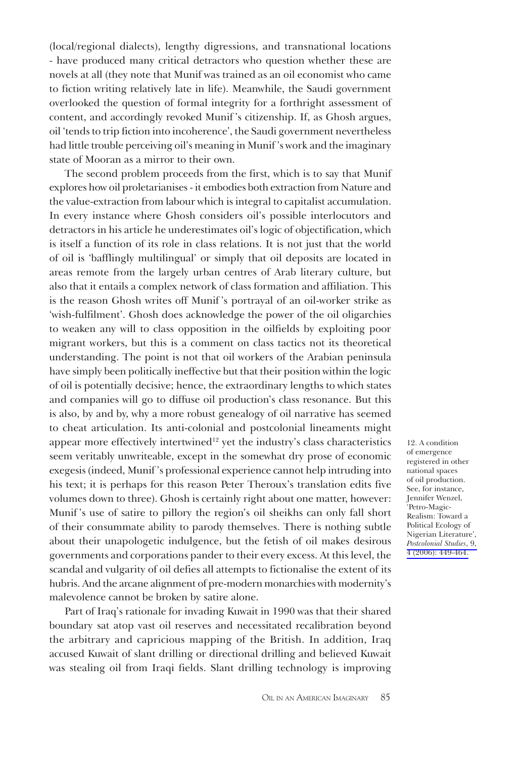(local/regional dialects), lengthy digressions, and transnational locations - have produced many critical detractors who question whether these are novels at all (they note that Munif was trained as an oil economist who came to fiction writing relatively late in life). Meanwhile, the Saudi government overlooked the question of formal integrity for a forthright assessment of content, and accordingly revoked Munif's citizenship. If, as Ghosh argues, oil 'tends to trip fiction into incoherence', the Saudi government nevertheless had little trouble perceiving oil's meaning in Munif's work and the imaginary state of Mooran as a mirror to their own.

The second problem proceeds from the first, which is to say that Munif explores how oil proletarianises - it embodies both extraction from Nature and the value-extraction from labour which is integral to capitalist accumulation. In every instance where Ghosh considers oil's possible interlocutors and detractors in his article he underestimates oil's logic of objectification, which is itself a function of its role in class relations. It is not just that the world of oil is 'bafflingly multilingual' or simply that oil deposits are located in areas remote from the largely urban centres of Arab literary culture, but also that it entails a complex network of class formation and affiliation. This is the reason Ghosh writes off Munif's portrayal of an oil-worker strike as 'wish-fulfilment'. Ghosh does acknowledge the power of the oil oligarchies to weaken any will to class opposition in the oilfields by exploiting poor migrant workers, but this is a comment on class tactics not its theoretical understanding. The point is not that oil workers of the Arabian peninsula have simply been politically ineffective but that their position within the logic of oil is potentially decisive; hence, the extraordinary lengths to which states and companies will go to diffuse oil production's class resonance. But this is also, by and by, why a more robust genealogy of oil narrative has seemed to cheat articulation. Its anti-colonial and postcolonial lineaments might appear more effectively intertwined<sup>12</sup> yet the industry's class characteristics seem veritably unwriteable, except in the somewhat dry prose of economic exegesis (indeed, Munif's professional experience cannot help intruding into his text; it is perhaps for this reason Peter Theroux's translation edits five volumes down to three). Ghosh is certainly right about one matter, however: Munif's use of satire to pillory the region's oil sheikhs can only fall short of their consummate ability to parody themselves. There is nothing subtle about their unapologetic indulgence, but the fetish of oil makes desirous governments and corporations pander to their every excess. At this level, the scandal and vulgarity of oil defies all attempts to fictionalise the extent of its hubris. And the arcane alignment of pre-modern monarchies with modernity's malevolence cannot be broken by satire alone.

Part of Iraq's rationale for invading Kuwait in 1990 was that their shared boundary sat atop vast oil reserves and necessitated recalibration beyond the arbitrary and capricious mapping of the British. In addition, Iraq accused Kuwait of slant drilling or directional drilling and believed Kuwait was stealing oil from Iraqi fields. Slant drilling technology is improving

12. A condition of emergence registered in other national spaces of oil production. See, for instance, Jennifer Wenzel, 'Petro-Magic-Realism: Toward a Political Ecology of Nigerian Literature', Postcolonial Studies, 9, 4 (2006): 449-464.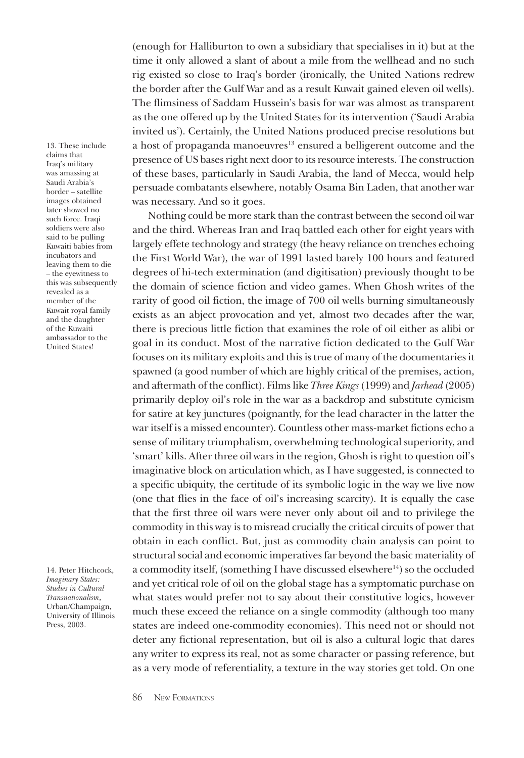13. These include claims that Iraq's military was amassing at Saudi Arabia's border - satellite images obtained later showed no such force. Iraqi soldiers were also said to be pulling Kuwaiti babies from incubators and leaving them to die - the eyewitness to this was subsequently revealed as a member of the Kuwait royal family and the daughter of the Kuwaiti ambassador to the **United States!** 

14. Peter Hitchcock, **Imaginary States:** Studies in Cultural Transnationalism. Urban/Champaign, University of Illinois Press, 2003.

(enough for Halliburton to own a subsidiary that specialises in it) but at the time it only allowed a slant of about a mile from the wellhead and no such rig existed so close to Iraq's border (ironically, the United Nations redrew the border after the Gulf War and as a result Kuwait gained eleven oil wells). The flimsiness of Saddam Hussein's basis for war was almost as transparent as the one offered up by the United States for its intervention ('Saudi Arabia invited us'). Certainly, the United Nations produced precise resolutions but a host of propaganda manoeuvres<sup>13</sup> ensured a belligerent outcome and the presence of US bases right next door to its resource interests. The construction of these bases, particularly in Saudi Arabia, the land of Mecca, would help persuade combatants elsewhere, notably Osama Bin Laden, that another war was necessary. And so it goes.

Nothing could be more stark than the contrast between the second oil war and the third. Whereas Iran and Iraq battled each other for eight years with largely effete technology and strategy (the heavy reliance on trenches echoing the First World War), the war of 1991 lasted barely 100 hours and featured degrees of hi-tech extermination (and digitisation) previously thought to be the domain of science fiction and video games. When Ghosh writes of the rarity of good oil fiction, the image of 700 oil wells burning simultaneously exists as an abject provocation and yet, almost two decades after the war, there is precious little fiction that examines the role of oil either as alibi or goal in its conduct. Most of the narrative fiction dedicated to the Gulf War focuses on its military exploits and this is true of many of the documentaries it spawned (a good number of which are highly critical of the premises, action, and aftermath of the conflict). Films like *Three Kings* (1999) and *Jarhead* (2005) primarily deploy oil's role in the war as a backdrop and substitute cynicism for satire at key junctures (poignantly, for the lead character in the latter the war itself is a missed encounter). Countless other mass-market fictions echo a sense of military triumphalism, overwhelming technological superiority, and 'smart' kills. After three oil wars in the region, Ghosh is right to question oil's imaginative block on articulation which, as I have suggested, is connected to a specific ubiquity, the certitude of its symbolic logic in the way we live now (one that flies in the face of oil's increasing scarcity). It is equally the case that the first three oil wars were never only about oil and to privilege the commodity in this way is to misread crucially the critical circuits of power that obtain in each conflict. But, just as commodity chain analysis can point to structural social and economic imperatives far beyond the basic materiality of a commodity itself, (something I have discussed elsewhere<sup>14</sup>) so the occluded and yet critical role of oil on the global stage has a symptomatic purchase on what states would prefer not to say about their constitutive logics, however much these exceed the reliance on a single commodity (although too many states are indeed one-commodity economies). This need not or should not deter any fictional representation, but oil is also a cultural logic that dares any writer to express its real, not as some character or passing reference, but as a very mode of referentiality, a texture in the way stories get told. On one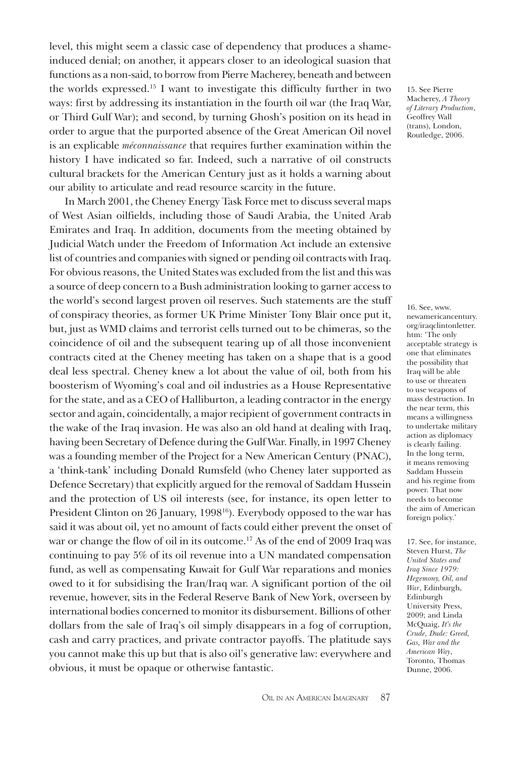level, this might seem a classic case of dependency that produces a shameinduced denial; on another, it appears closer to an ideological suasion that functions as a non-said, to borrow from Pierre Macherey, beneath and between the worlds expressed.<sup>15</sup> I want to investigate this difficulty further in two ways: first by addressing its instantiation in the fourth oil war (the Iraq War, or Third Gulf War); and second, by turning Ghosh's position on its head in order to argue that the purported absence of the Great American Oil novel is an explicable *méconnaissance* that requires further examination within the history I have indicated so far. Indeed, such a narrative of oil constructs cultural brackets for the American Century just as it holds a warning about our ability to articulate and read resource scarcity in the future.

In March 2001, the Cheney Energy Task Force met to discuss several maps of West Asian oilfields, including those of Saudi Arabia, the United Arab Emirates and Iraq. In addition, documents from the meeting obtained by Judicial Watch under the Freedom of Information Act include an extensive list of countries and companies with signed or pending oil contracts with Iraq. For obvious reasons, the United States was excluded from the list and this was a source of deep concern to a Bush administration looking to garner access to the world's second largest proven oil reserves. Such statements are the stuff of conspiracy theories, as former UK Prime Minister Tony Blair once put it, but, just as WMD claims and terrorist cells turned out to be chimeras, so the coincidence of oil and the subsequent tearing up of all those inconvenient contracts cited at the Cheney meeting has taken on a shape that is a good deal less spectral. Cheney knew a lot about the value of oil, both from his boosterism of Wyoming's coal and oil industries as a House Representative for the state, and as a CEO of Halliburton, a leading contractor in the energy sector and again, coincidentally, a major recipient of government contracts in the wake of the Iraq invasion. He was also an old hand at dealing with Iraq, having been Secretary of Defence during the Gulf War. Finally, in 1997 Cheney was a founding member of the Project for a New American Century (PNAC), a 'think-tank' including Donald Rumsfeld (who Cheney later supported as Defence Secretary) that explicitly argued for the removal of Saddam Hussein and the protection of US oil interests (see, for instance, its open letter to President Clinton on 26 January, 1998<sup>16</sup>). Everybody opposed to the war has said it was about oil, yet no amount of facts could either prevent the onset of war or change the flow of oil in its outcome.<sup>17</sup> As of the end of 2009 Iraq was continuing to pay 5% of its oil revenue into a UN mandated compensation fund, as well as compensating Kuwait for Gulf War reparations and monies owed to it for subsidising the Iran/Iraq war. A significant portion of the oil revenue, however, sits in the Federal Reserve Bank of New York, overseen by international bodies concerned to monitor its disbursement. Billions of other dollars from the sale of Iraq's oil simply disappears in a fog of corruption, cash and carry practices, and private contractor payoffs. The platitude says you cannot make this up but that is also oil's generative law: everywhere and obvious, it must be opaque or otherwise fantastic.

15 See Pierre Macherey, A Theory of Literary Production, Geoffrey Wall (trans), London, Routledge, 2006.

16. See, www. newamericancentury. org/iraqclintonletter. htm: The only acceptable strategy is one that eliminates the possibility that Iraq will be able to use or threaten to use weapons of mass destruction. In the near term, this means a willingness to undertake military action as diplomacy is clearly failing. In the long term, it means removing Saddam Hussein and his regime from power. That now needs to become the aim of American foreign policy.'

17. See, for instance, Steven Hurst, The United States and Iraq Since 1979: Hegemony, Oil, and War, Edinburgh, Edinburgh University Press, 2009; and Linda McQuaig, It's the Crude, Dude: Greed, Gas, War and the American Way, Toronto, Thomas Dunne, 2006.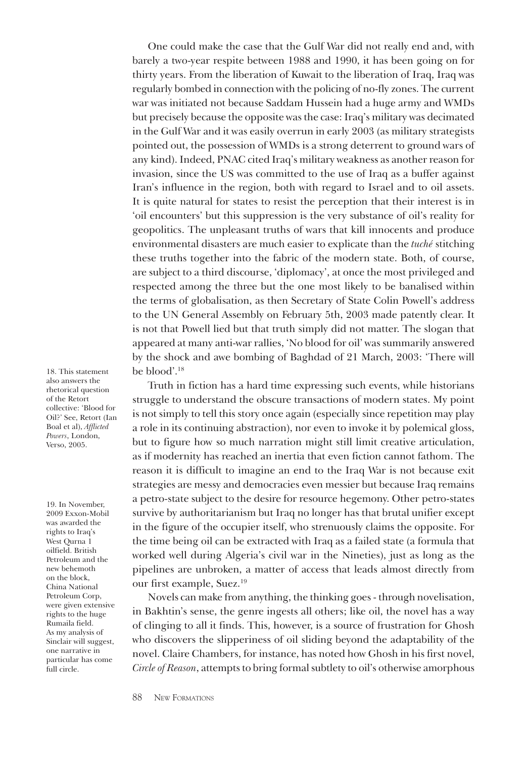One could make the case that the Gulf War did not really end and, with barely a two-year respite between 1988 and 1990, it has been going on for thirty years. From the liberation of Kuwait to the liberation of Iraq, Iraq was regularly bombed in connection with the policing of no-fly zones. The current war was initiated not because Saddam Hussein had a huge army and WMDs but precisely because the opposite was the case: Iraq's military was decimated in the Gulf War and it was easily overrun in early 2003 (as military strategists pointed out, the possession of WMDs is a strong deterrent to ground wars of any kind). Indeed, PNAC cited Iraq's military weakness as another reason for invasion, since the US was committed to the use of Iraq as a buffer against Iran's influence in the region, both with regard to Israel and to oil assets. It is quite natural for states to resist the perception that their interest is in 'oil encounters' but this suppression is the very substance of oil's reality for geopolitics. The unpleasant truths of wars that kill innocents and produce environmental disasters are much easier to explicate than the tuché stitching these truths together into the fabric of the modern state. Both, of course, are subject to a third discourse, 'diplomacy', at once the most privileged and respected among the three but the one most likely to be banalised within the terms of globalisation, as then Secretary of State Colin Powell's address to the UN General Assembly on February 5th, 2003 made patently clear. It is not that Powell lied but that truth simply did not matter. The slogan that appeared at many anti-war rallies, 'No blood for oil' was summarily answered by the shock and awe bombing of Baghdad of 21 March, 2003: 'There will be blood'.<sup>18</sup>

Truth in fiction has a hard time expressing such events, while historians struggle to understand the obscure transactions of modern states. My point is not simply to tell this story once again (especially since repetition may play a role in its continuing abstraction), nor even to invoke it by polemical gloss, but to figure how so much narration might still limit creative articulation, as if modernity has reached an inertia that even fiction cannot fathom. The reason it is difficult to imagine an end to the Iraq War is not because exit strategies are messy and democracies even messier but because Iraq remains a petro-state subject to the desire for resource hegemony. Other petro-states survive by authoritarianism but Iraq no longer has that brutal unifier except in the figure of the occupier itself, who strenuously claims the opposite. For the time being oil can be extracted with Iraq as a failed state (a formula that worked well during Algeria's civil war in the Nineties), just as long as the pipelines are unbroken, a matter of access that leads almost directly from our first example, Suez.<sup>19</sup>

Novels can make from anything, the thinking goes - through novelisation, in Bakhtin's sense, the genre ingests all others; like oil, the novel has a way of clinging to all it finds. This, however, is a source of frustration for Ghosh who discovers the slipperiness of oil sliding beyond the adaptability of the novel. Claire Chambers, for instance, has noted how Ghosh in his first novel, Circle of Reason, attempts to bring formal subtlety to oil's otherwise amorphous

18. This statement also answers the rhetorical question of the Retort collective: 'Blood for Oil?' See, Retort (Ian Boal et al), Afflicted Powers, London, Verso, 2005.

19. In November, 2009 Exxon-Mobil was awarded the rights to Iraq's West Ourna 1 oilfield. British Petroleum and the new behemoth on the block. China National Petroleum Corp, were given extensive rights to the huge Rumaila field. As my analysis of Sinclair will suggest, one narrative in particular has come full circle.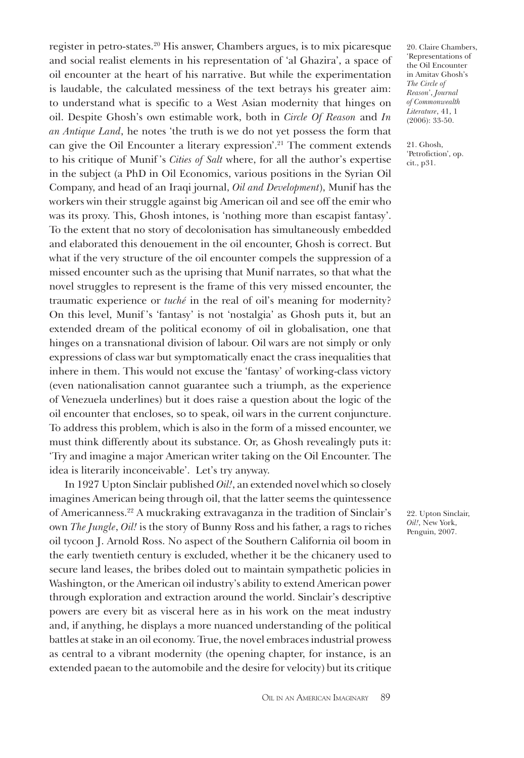register in petro-states.<sup>20</sup> His answer, Chambers argues, is to mix picaresque and social realist elements in his representation of 'al Ghazira', a space of oil encounter at the heart of his narrative. But while the experimentation is laudable, the calculated messiness of the text betrays his greater aim: to understand what is specific to a West Asian modernity that hinges on oil. Despite Ghosh's own estimable work, both in Circle Of Reason and In an Antique Land, he notes 'the truth is we do not yet possess the form that can give the Oil Encounter a literary expression'.<sup>21</sup> The comment extends to his critique of Munif's Cities of Salt where, for all the author's expertise in the subject (a PhD in Oil Economics, various positions in the Syrian Oil Company, and head of an Iraqi journal, Oil and Development), Munif has the workers win their struggle against big American oil and see off the emir who was its proxy. This, Ghosh intones, is 'nothing more than escapist fantasy'. To the extent that no story of decolonisation has simultaneously embedded and elaborated this denouement in the oil encounter, Ghosh is correct. But what if the very structure of the oil encounter compels the suppression of a missed encounter such as the uprising that Munif narrates, so that what the novel struggles to represent is the frame of this very missed encounter, the traumatic experience or tuché in the real of oil's meaning for modernity? On this level, Munif's 'fantasy' is not 'nostalgia' as Ghosh puts it, but an extended dream of the political economy of oil in globalisation, one that hinges on a transnational division of labour. Oil wars are not simply or only expressions of class war but symptomatically enact the crass inequalities that inhere in them. This would not excuse the 'fantasy' of working-class victory (even nationalisation cannot guarantee such a triumph, as the experience of Venezuela underlines) but it does raise a question about the logic of the oil encounter that encloses, so to speak, oil wars in the current conjuncture. To address this problem, which is also in the form of a missed encounter, we must think differently about its substance. Or, as Ghosh revealingly puts it: Try and imagine a major American writer taking on the Oil Encounter. The idea is literarily inconceivable'. Let's try anyway.

In 1927 Upton Sinclair published Oil!, an extended novel which so closely imagines American being through oil, that the latter seems the quintessence of Americanness.<sup>22</sup> A muckraking extravaganza in the tradition of Sinclair's own The Jungle, Oil! is the story of Bunny Ross and his father, a rags to riches oil tycoon J. Arnold Ross. No aspect of the Southern California oil boom in the early twentieth century is excluded, whether it be the chicanery used to secure land leases, the bribes doled out to maintain sympathetic policies in Washington, or the American oil industry's ability to extend American power through exploration and extraction around the world. Sinclair's descriptive powers are every bit as visceral here as in his work on the meat industry and, if anything, he displays a more nuanced understanding of the political battles at stake in an oil economy. True, the novel embraces industrial prowess as central to a vibrant modernity (the opening chapter, for instance, is an extended paean to the automobile and the desire for velocity) but its critique

20. Claire Chambers, 'Representations of the Oil Encounter in Amitav Ghosh's The Circle of Reason', Journal of Commonwealth Literature, 41, 1  $(2006): 33-50.$ 

91 Ghosh 'Petrofiction', op. cit., p31.

22. Upton Sinclair. Oil!, New York, Penguin, 2007.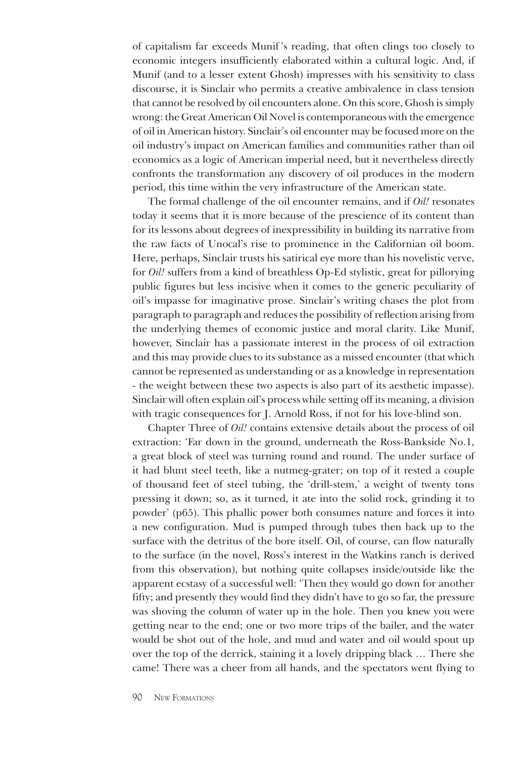of capitalism far exceeds Munif's reading, that often clings too closely to economic integers insufficiently elaborated within a cultural logic. And, if Munif (and to a lesser extent Ghosh) impresses with his sensitivity to class discourse, it is Sinclair who permits a creative ambivalence in class tension that cannot be resolved by oil encounters alone. On this score, Ghosh is simply wrong: the Great American Oil Novel is contemporaneous with the emergence of oil in American history. Sinclair's oil encounter may be focused more on the oil industry's impact on American families and communities rather than oil economics as a logic of American imperial need, but it nevertheless directly confronts the transformation any discovery of oil produces in the modern period, this time within the very infrastructure of the American state.

The formal challenge of the oil encounter remains, and if Oil! resonates today it seems that it is more because of the prescience of its content than for its lessons about degrees of inexpressibility in building its narrative from the raw facts of Unocal's rise to prominence in the Californian oil boom. Here, perhaps, Sinclair trusts his satirical eye more than his novelistic verve, for Oil! suffers from a kind of breathless Op-Ed stylistic, great for pillorying public figures but less incisive when it comes to the generic peculiarity of oil's impasse for imaginative prose. Sinclair's writing chases the plot from paragraph to paragraph and reduces the possibility of reflection arising from the underlying themes of economic justice and moral clarity. Like Munif, however, Sinclair has a passionate interest in the process of oil extraction and this may provide clues to its substance as a missed encounter (that which cannot be represented as understanding or as a knowledge in representation - the weight between these two aspects is also part of its aesthetic impasse). Sinclair will often explain oil's process while setting off its meaning, a division with tragic consequences for J. Arnold Ross, if not for his love-blind son.

Chapter Three of *Oil!* contains extensive details about the process of oil extraction: 'Far down in the ground, underneath the Ross-Bankside No.1, a great block of steel was turning round and round. The under surface of it had blunt steel teeth, like a nutmeg-grater; on top of it rested a couple of thousand feet of steel tubing, the 'drill-stem,' a weight of twenty tons pressing it down; so, as it turned, it ate into the solid rock, grinding it to powder' (p65). This phallic power both consumes nature and forces it into a new configuration. Mud is pumped through tubes then back up to the surface with the detritus of the bore itself. Oil, of course, can flow naturally to the surface (in the novel, Ross's interest in the Watkins ranch is derived from this observation), but nothing quite collapses inside/outside like the apparent ecstasy of a successful well: 'Then they would go down for another fifty; and presently they would find they didn't have to go so far, the pressure was shoving the column of water up in the hole. Then you knew you were getting near to the end; one or two more trips of the bailer, and the water would be shot out of the hole, and mud and water and oil would spout up over the top of the derrick, staining it a lovely dripping black ... There she came! There was a cheer from all hands, and the spectators went flying to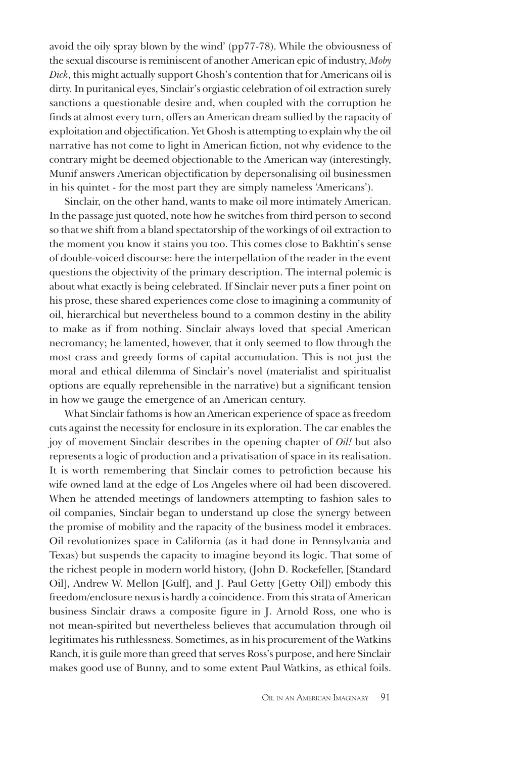avoid the oily spray blown by the wind' (pp77-78). While the obviousness of the sexual discourse is reminiscent of another American epic of industry, Moby Dick, this might actually support Ghosh's contention that for Americans oil is dirty. In puritanical eyes, Sinclair's orgiastic celebration of oil extraction surely sanctions a questionable desire and, when coupled with the corruption he finds at almost every turn, offers an American dream sullied by the rapacity of exploitation and objectification. Yet Ghosh is attempting to explain why the oil narrative has not come to light in American fiction, not why evidence to the contrary might be deemed objectionable to the American way (interestingly, Munif answers American objectification by depersonalising oil businessmen in his quintet - for the most part they are simply nameless 'Americans').

Sinclair, on the other hand, wants to make oil more intimately American. In the passage just quoted, note how he switches from third person to second so that we shift from a bland spectatorship of the workings of oil extraction to the moment you know it stains you too. This comes close to Bakhtin's sense of double-voiced discourse: here the interpellation of the reader in the event questions the objectivity of the primary description. The internal polemic is about what exactly is being celebrated. If Sinclair never puts a finer point on his prose, these shared experiences come close to imagining a community of oil, hierarchical but nevertheless bound to a common destiny in the ability to make as if from nothing. Sinclair always loved that special American necromancy; he lamented, however, that it only seemed to flow through the most crass and greedy forms of capital accumulation. This is not just the moral and ethical dilemma of Sinclair's novel (materialist and spiritualist options are equally reprehensible in the narrative) but a significant tension in how we gauge the emergence of an American century.

What Sinclair fathoms is how an American experience of space as freedom cuts against the necessity for enclosure in its exploration. The car enables the joy of movement Sinclair describes in the opening chapter of *Oil!* but also represents a logic of production and a privatisation of space in its realisation. It is worth remembering that Sinclair comes to petrofiction because his wife owned land at the edge of Los Angeles where oil had been discovered. When he attended meetings of landowners attempting to fashion sales to oil companies, Sinclair began to understand up close the synergy between the promise of mobility and the rapacity of the business model it embraces. Oil revolutionizes space in California (as it had done in Pennsylvania and Texas) but suspends the capacity to imagine beyond its logic. That some of the richest people in modern world history, (John D. Rockefeller, [Standard Oil], Andrew W. Mellon [Gulf], and J. Paul Getty [Getty Oil]) embody this freedom/enclosure nexus is hardly a coincidence. From this strata of American business Sinclair draws a composite figure in J. Arnold Ross, one who is not mean-spirited but nevertheless believes that accumulation through oil legitimates his ruthlessness. Sometimes, as in his procurement of the Watkins Ranch, it is guile more than greed that serves Ross's purpose, and here Sinclair makes good use of Bunny, and to some extent Paul Watkins, as ethical foils.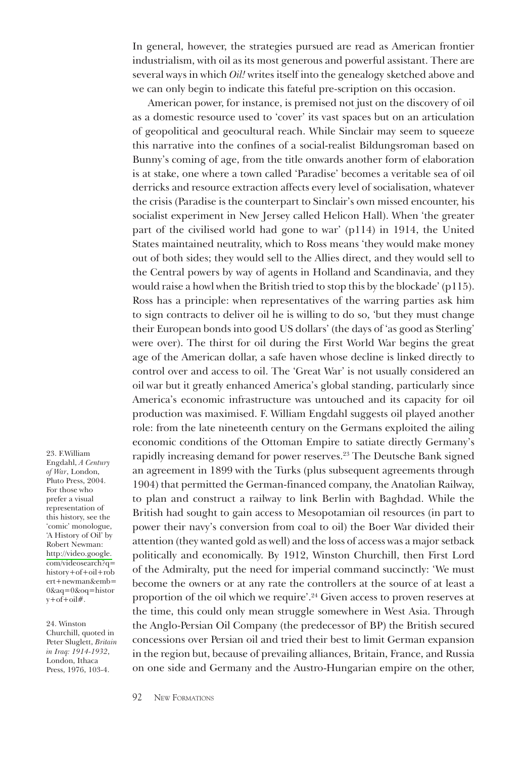In general, however, the strategies pursued are read as American frontier industrialism, with oil as its most generous and powerful assistant. There are several ways in which *Oil!* writes itself into the genealogy sketched above and we can only begin to indicate this fateful pre-scription on this occasion.

American power, for instance, is premised not just on the discovery of oil as a domestic resource used to 'cover' its vast spaces but on an articulation of geopolitical and geocultural reach. While Sinclair may seem to squeeze this narrative into the confines of a social-realist Bildungsroman based on Bunny's coming of age, from the title onwards another form of elaboration is at stake, one where a town called 'Paradise' becomes a veritable sea of oil derricks and resource extraction affects every level of socialisation, whatever the crisis (Paradise is the counterpart to Sinclair's own missed encounter, his socialist experiment in New Jersey called Helicon Hall). When 'the greater part of the civilised world had gone to war' (p114) in 1914, the United States maintained neutrality, which to Ross means 'they would make money out of both sides; they would sell to the Allies direct, and they would sell to the Central powers by way of agents in Holland and Scandinavia, and they would raise a howl when the British tried to stop this by the blockade' (p115). Ross has a principle: when representatives of the warring parties ask him to sign contracts to deliver oil he is willing to do so, 'but they must change their European bonds into good US dollars' (the days of 'as good as Sterling' were over). The thirst for oil during the First World War begins the great age of the American dollar, a safe haven whose decline is linked directly to control over and access to oil. The 'Great War' is not usually considered an oil war but it greatly enhanced America's global standing, particularly since America's economic infrastructure was untouched and its capacity for oil production was maximised. F. William Engdahl suggests oil played another role: from the late nineteenth century on the Germans exploited the ailing economic conditions of the Ottoman Empire to satiate directly Germany's rapidly increasing demand for power reserves.<sup>23</sup> The Deutsche Bank signed an agreement in 1899 with the Turks (plus subsequent agreements through 1904) that permitted the German-financed company, the Anatolian Railway, to plan and construct a railway to link Berlin with Baghdad. While the British had sought to gain access to Mesopotamian oil resources (in part to power their navy's conversion from coal to oil) the Boer War divided their attention (they wanted gold as well) and the loss of access was a major setback politically and economically. By 1912, Winston Churchill, then First Lord of the Admiralty, put the need for imperial command succinctly: 'We must become the owners or at any rate the controllers at the source of at least a proportion of the oil which we require'.<sup>24</sup> Given access to proven reserves at the time, this could only mean struggle somewhere in West Asia. Through the Anglo-Persian Oil Company (the predecessor of BP) the British secured concessions over Persian oil and tried their best to limit German expansion in the region but, because of prevailing alliances, Britain, France, and Russia on one side and Germany and the Austro-Hungarian empire on the other,

93 FWilliam Engdahl, A Century of War, London, Pluto Press, 2004. For those who prefer a visual representation of this history, see the 'comic' monologue, 'A History of Oil' by Robert Newman: http://video.google. com/videosearch?q=  $history + of + oil + rob$ ert+newman&emb=  $0\&aq=0\&oq=histor$  $y + of + oil#$ .

24. Winston Churchill, quoted in Peter Sluglett, Britain in Iraa: 1914-1932. London Ithaca Press, 1976, 103-4.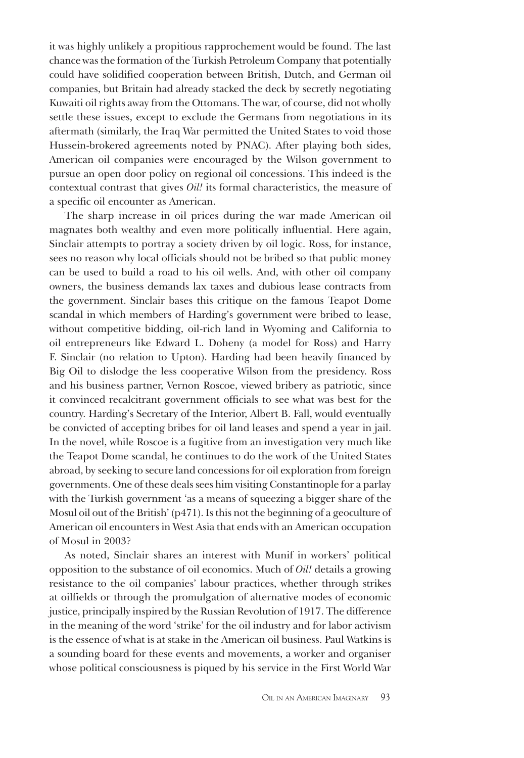it was highly unlikely a propitious rapprochement would be found. The last chance was the formation of the Turkish Petroleum Company that potentially could have solidified cooperation between British, Dutch, and German oil companies, but Britain had already stacked the deck by secretly negotiating Kuwaiti oil rights away from the Ottomans. The war, of course, did not wholly settle these issues, except to exclude the Germans from negotiations in its aftermath (similarly, the Iraq War permitted the United States to void those Hussein-brokered agreements noted by PNAC). After playing both sides, American oil companies were encouraged by the Wilson government to pursue an open door policy on regional oil concessions. This indeed is the contextual contrast that gives Oil! its formal characteristics, the measure of a specific oil encounter as American.

The sharp increase in oil prices during the war made American oil magnates both wealthy and even more politically influential. Here again, Sinclair attempts to portray a society driven by oil logic. Ross, for instance, sees no reason why local officials should not be bribed so that public money can be used to build a road to his oil wells. And, with other oil company owners, the business demands lax taxes and dubious lease contracts from the government. Sinclair bases this critique on the famous Teapot Dome scandal in which members of Harding's government were bribed to lease, without competitive bidding, oil-rich land in Wyoming and California to oil entrepreneurs like Edward L. Doheny (a model for Ross) and Harry F. Sinclair (no relation to Upton). Harding had been heavily financed by Big Oil to dislodge the less cooperative Wilson from the presidency. Ross and his business partner, Vernon Roscoe, viewed bribery as patriotic, since it convinced recalcitrant government officials to see what was best for the country. Harding's Secretary of the Interior, Albert B. Fall, would eventually be convicted of accepting bribes for oil land leases and spend a year in jail. In the novel, while Roscoe is a fugitive from an investigation very much like the Teapot Dome scandal, he continues to do the work of the United States abroad, by seeking to secure land concessions for oil exploration from foreign governments. One of these deals sees him visiting Constantinople for a parlay with the Turkish government 'as a means of squeezing a bigger share of the Mosul oil out of the British'  $(p471)$ . Is this not the beginning of a geoculture of American oil encounters in West Asia that ends with an American occupation of Mosul in 2003?

As noted, Sinclair shares an interest with Munif in workers' political opposition to the substance of oil economics. Much of *Oil!* details a growing resistance to the oil companies' labour practices, whether through strikes at oilfields or through the promulgation of alternative modes of economic justice, principally inspired by the Russian Revolution of 1917. The difference in the meaning of the word 'strike' for the oil industry and for labor activism is the essence of what is at stake in the American oil business. Paul Watkins is a sounding board for these events and movements, a worker and organiser whose political consciousness is piqued by his service in the First World War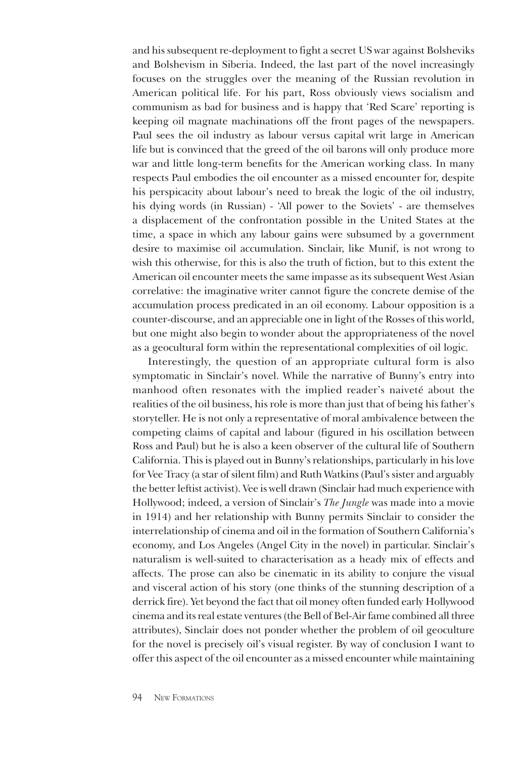and his subsequent re-deployment to fight a secret US war against Bolsheviks and Bolshevism in Siberia. Indeed, the last part of the novel increasingly focuses on the struggles over the meaning of the Russian revolution in American political life. For his part, Ross obviously views socialism and communism as bad for business and is happy that 'Red Scare' reporting is keeping oil magnate machinations off the front pages of the newspapers. Paul sees the oil industry as labour versus capital writ large in American life but is convinced that the greed of the oil barons will only produce more war and little long-term benefits for the American working class. In many respects Paul embodies the oil encounter as a missed encounter for, despite his perspicacity about labour's need to break the logic of the oil industry, his dying words (in Russian) - 'All power to the Soviets' - are themselves a displacement of the confrontation possible in the United States at the time, a space in which any labour gains were subsumed by a government desire to maximise oil accumulation. Sinclair, like Munif, is not wrong to wish this otherwise, for this is also the truth of fiction, but to this extent the American oil encounter meets the same impasse as its subsequent West Asian correlative: the imaginative writer cannot figure the concrete demise of the accumulation process predicated in an oil economy. Labour opposition is a counter-discourse, and an appreciable one in light of the Rosses of this world, but one might also begin to wonder about the appropriateness of the novel as a geocultural form within the representational complexities of oil logic.

Interestingly, the question of an appropriate cultural form is also symptomatic in Sinclair's novel. While the narrative of Bunny's entry into manhood often resonates with the implied reader's naiveté about the realities of the oil business, his role is more than just that of being his father's storyteller. He is not only a representative of moral ambivalence between the competing claims of capital and labour (figured in his oscillation between Ross and Paul) but he is also a keen observer of the cultural life of Southern California. This is played out in Bunny's relationships, particularly in his love for Vee Tracy (a star of silent film) and Ruth Watkins (Paul's sister and arguably the better leftist activist). Vee is well drawn (Sinclair had much experience with Hollywood; indeed, a version of Sinclair's The Jungle was made into a movie in 1914) and her relationship with Bunny permits Sinclair to consider the interrelationship of cinema and oil in the formation of Southern California's economy, and Los Angeles (Angel City in the novel) in particular. Sinclair's naturalism is well-suited to characterisation as a heady mix of effects and affects. The prose can also be cinematic in its ability to conjure the visual and visceral action of his story (one thinks of the stunning description of a derrick fire). Yet beyond the fact that oil money often funded early Hollywood cinema and its real estate ventures (the Bell of Bel-Air fame combined all three attributes), Sinclair does not ponder whether the problem of oil geoculture for the novel is precisely oil's visual register. By way of conclusion I want to offer this aspect of the oil encounter as a missed encounter while maintaining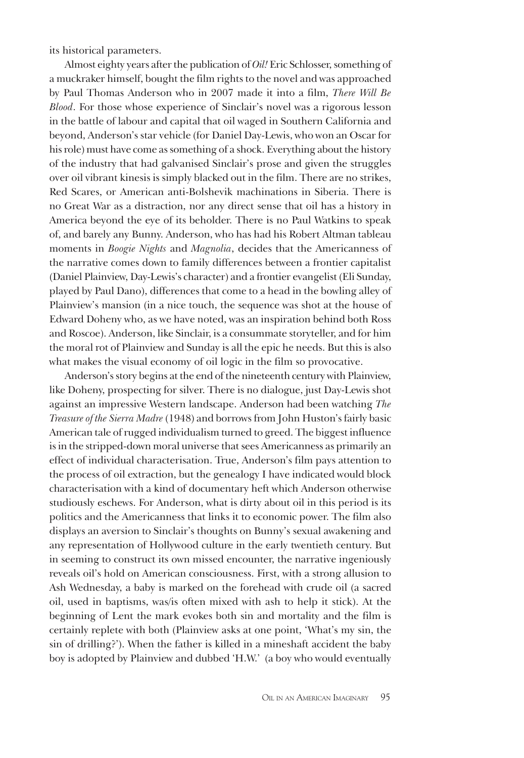its historical parameters.

Almost eighty years after the publication of Oil! Eric Schlosser, something of a muckraker himself, bought the film rights to the novel and was approached by Paul Thomas Anderson who in 2007 made it into a film, There Will Be Blood. For those whose experience of Sinclair's novel was a rigorous lesson in the battle of labour and capital that oil waged in Southern California and beyond, Anderson's star vehicle (for Daniel Day-Lewis, who won an Oscar for his role) must have come as something of a shock. Everything about the history of the industry that had galvanised Sinclair's prose and given the struggles over oil vibrant kinesis is simply blacked out in the film. There are no strikes, Red Scares, or American anti-Bolshevik machinations in Siberia. There is no Great War as a distraction, nor any direct sense that oil has a history in America beyond the eye of its beholder. There is no Paul Watkins to speak of, and barely any Bunny. Anderson, who has had his Robert Altman tableau moments in *Boogie Nights* and *Magnolia*, decides that the Americanness of the narrative comes down to family differences between a frontier capitalist (Daniel Plainview, Day-Lewis's character) and a frontier evangelist (Eli Sunday, played by Paul Dano), differences that come to a head in the bowling alley of Plainview's mansion (in a nice touch, the sequence was shot at the house of Edward Doheny who, as we have noted, was an inspiration behind both Ross and Roscoe). Anderson, like Sinclair, is a consummate storyteller, and for him the moral rot of Plainview and Sunday is all the epic he needs. But this is also what makes the visual economy of oil logic in the film so provocative.

Anderson's story begins at the end of the nineteenth century with Plainview, like Doheny, prospecting for silver. There is no dialogue, just Day-Lewis shot against an impressive Western landscape. Anderson had been watching The Treasure of the Sierra Madre (1948) and borrows from John Huston's fairly basic American tale of rugged individualism turned to greed. The biggest influence is in the stripped-down moral universe that sees Americanness as primarily an effect of individual characterisation. True, Anderson's film pays attention to the process of oil extraction, but the genealogy I have indicated would block characterisation with a kind of documentary heft which Anderson otherwise studiously eschews. For Anderson, what is dirty about oil in this period is its politics and the Americanness that links it to economic power. The film also displays an aversion to Sinclair's thoughts on Bunny's sexual awakening and any representation of Hollywood culture in the early twentieth century. But in seeming to construct its own missed encounter, the narrative ingeniously reveals oil's hold on American consciousness. First, with a strong allusion to Ash Wednesday, a baby is marked on the forehead with crude oil (a sacred oil, used in baptisms, was/is often mixed with ash to help it stick). At the beginning of Lent the mark evokes both sin and mortality and the film is certainly replete with both (Plainview asks at one point, 'What's my sin, the sin of drilling?'). When the father is killed in a mineshaft accident the baby boy is adopted by Plainview and dubbed 'H.W.' (a boy who would eventually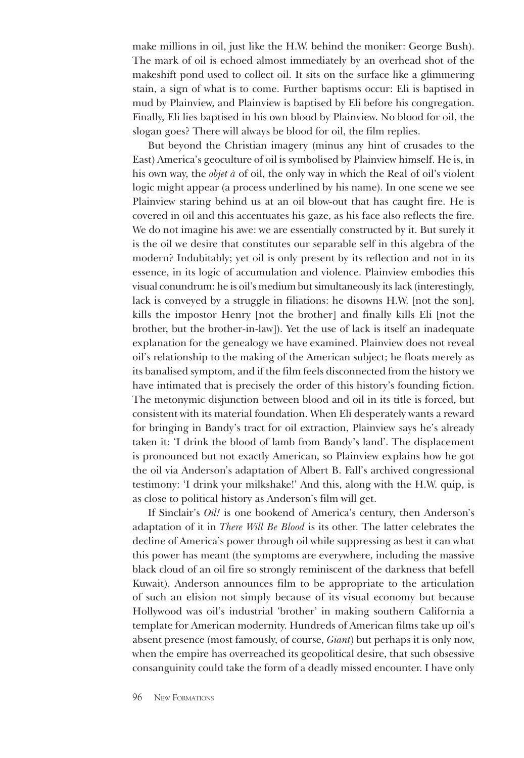make millions in oil, just like the H.W. behind the moniker: George Bush). The mark of oil is echoed almost immediately by an overhead shot of the makeshift pond used to collect oil. It sits on the surface like a glimmering stain, a sign of what is to come. Further baptisms occur: Eli is baptised in mud by Plainview, and Plainview is baptised by Eli before his congregation. Finally, Eli lies baptised in his own blood by Plainview. No blood for oil, the slogan goes? There will always be blood for oil, the film replies.

But beyond the Christian imagery (minus any hint of crusades to the East) America's geoculture of oil is symbolised by Plainview himself. He is, in his own way, the *objet* à of oil, the only way in which the Real of oil's violent logic might appear (a process underlined by his name). In one scene we see Plainview staring behind us at an oil blow-out that has caught fire. He is covered in oil and this accentuates his gaze, as his face also reflects the fire. We do not imagine his awe: we are essentially constructed by it. But surely it is the oil we desire that constitutes our separable self in this algebra of the modern? Indubitably; yet oil is only present by its reflection and not in its essence, in its logic of accumulation and violence. Plainview embodies this visual conundrum: he is oil's medium but simultaneously its lack (interestingly, lack is conveyed by a struggle in filiations: he disowns H.W. [not the son], kills the impostor Henry [not the brother] and finally kills Eli [not the brother, but the brother-in-law]). Yet the use of lack is itself an inadequate explanation for the genealogy we have examined. Plainview does not reveal oil's relationship to the making of the American subject; he floats merely as its banalised symptom, and if the film feels disconnected from the history we have intimated that is precisely the order of this history's founding fiction. The metonymic disjunction between blood and oil in its title is forced, but consistent with its material foundation. When Eli desperately wants a reward for bringing in Bandy's tract for oil extraction, Plainview says he's already taken it: 'I drink the blood of lamb from Bandy's land'. The displacement is pronounced but not exactly American, so Plainview explains how he got the oil via Anderson's adaptation of Albert B. Fall's archived congressional testimony: 'I drink your milkshake!' And this, along with the H.W. quip, is as close to political history as Anderson's film will get.

If Sinclair's Oil! is one bookend of America's century, then Anderson's adaptation of it in There Will Be Blood is its other. The latter celebrates the decline of America's power through oil while suppressing as best it can what this power has meant (the symptoms are everywhere, including the massive black cloud of an oil fire so strongly reminiscent of the darkness that befell Kuwait). Anderson announces film to be appropriate to the articulation of such an elision not simply because of its visual economy but because Hollywood was oil's industrial 'brother' in making southern California a template for American modernity. Hundreds of American films take up oil's absent presence (most famously, of course, *Giant*) but perhaps it is only now, when the empire has overreached its geopolitical desire, that such obsessive consanguinity could take the form of a deadly missed encounter. I have only